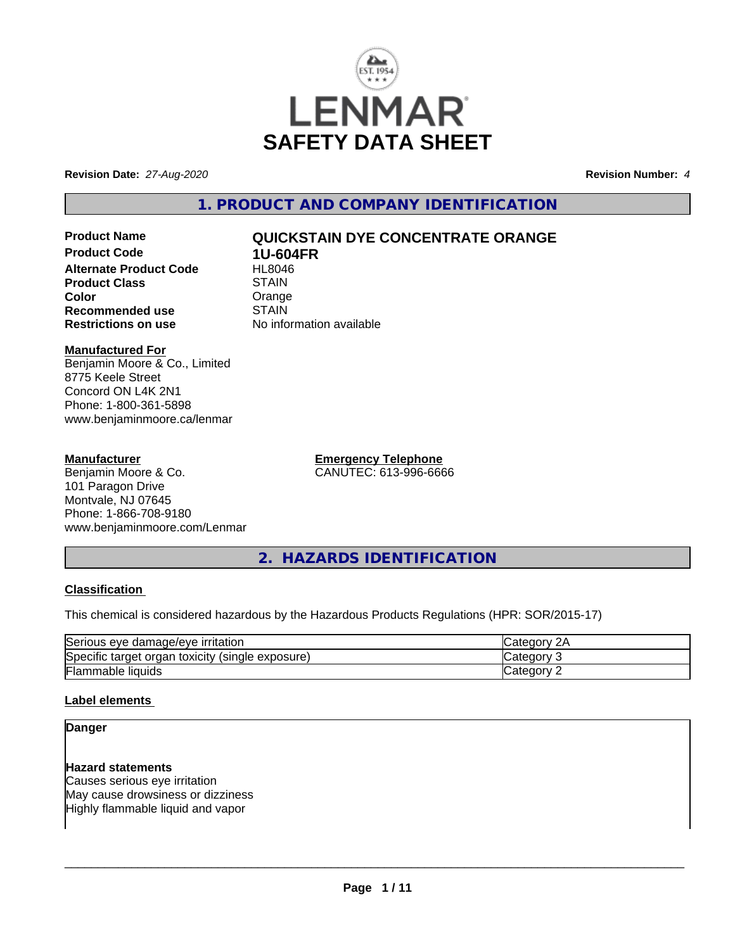

**Revision Date:** *27-Aug-2020* **Revision Number:** *4*

**1. PRODUCT AND COMPANY IDENTIFICATION**

**Product Code 1U-604FR Alternate Product Code Product Class STAIN Color** Orange<br> **Recommended use** STAIN **Recommended use**<br>Restrictions on use

# **Product Name QUICKSTAIN DYE CONCENTRATE ORANGE**

**No information available** 

# **Manufactured For**

Benjamin Moore & Co., Limited 8775 Keele Street Concord ON L4K 2N1 Phone: 1-800-361-5898 www.benjaminmoore.ca/lenmar

### **Manufacturer**

Benjamin Moore & Co. 101 Paragon Drive Montvale, NJ 07645 Phone: 1-866-708-9180 www.benjaminmoore.com/Lenmar **Emergency Telephone** CANUTEC: 613-996-6666

**2. HAZARDS IDENTIFICATION**

### **Classification**

This chemical is considered hazardous by the Hazardous Products Regulations (HPR: SOR/2015-17)

| Serious<br><u><b>Irritation</b></u><br>damade/eve<br>eve     | יוחר<br>ZΓ |
|--------------------------------------------------------------|------------|
| Specific<br>(single exposure)<br>toxicity<br>target<br>organ | reaor      |
| Flammable liquids                                            | enor.      |

### **Label elements**

### **Danger**

### **Hazard statements**

Causes serious eye irritation May cause drowsiness or dizziness Highly flammable liquid and vapor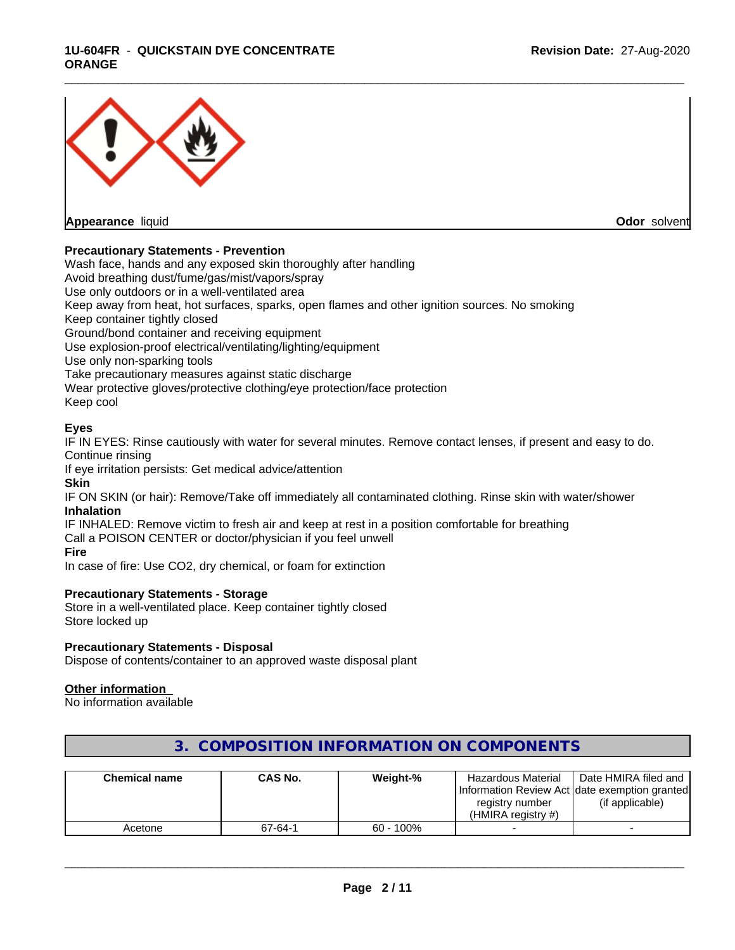### **1U-604FR** - **QUICKSTAIN DYE CONCENTRATE ORANGE**



### **Precautionary Statements - Prevention**

Wash face, hands and any exposed skin thoroughly after handling Avoid breathing dust/fume/gas/mist/vapors/spray Use only outdoors or in a well-ventilated area Keep away from heat, hot surfaces, sparks, open flames and other ignition sources. No smoking Keep container tightly closed Ground/bond container and receiving equipment Use explosion-proof electrical/ventilating/lighting/equipment Use only non-sparking tools Take precautionary measures against static discharge Wear protective gloves/protective clothing/eye protection/face protection Keep cool

### **Eyes**

IF IN EYES: Rinse cautiously with water for several minutes. Remove contact lenses, if present and easy to do. Continue rinsing

If eye irritation persists: Get medical advice/attention

**Skin**

IF ON SKIN (or hair): Remove/Take off immediately all contaminated clothing. Rinse skin with water/shower **Inhalation**

IF INHALED: Remove victim to fresh air and keep at rest in a position comfortable for breathing Call a POISON CENTER or doctor/physician if you feel unwell **Fire**

In case of fire: Use CO2, dry chemical, or foam for extinction

### **Precautionary Statements - Storage**

Store in a well-ventilated place. Keep container tightly closed Store locked up

### **Precautionary Statements - Disposal**

Dispose of contents/container to an approved waste disposal plant

### **Other information**

No information available

| <b>Chemical name</b> | <b>CAS No.</b> | Weight-%     | Hazardous Material | Date HMIRA filed and                           |
|----------------------|----------------|--------------|--------------------|------------------------------------------------|
|                      |                |              |                    | Information Review Act Idate exemption granted |
|                      |                |              | registry number    | (if applicable)                                |
|                      |                |              | (HMIRA registry #) |                                                |
| Acetone              | 67-64-1        | $60 - 100\%$ |                    |                                                |

# **3. COMPOSITION INFORMATION ON COMPONENTS**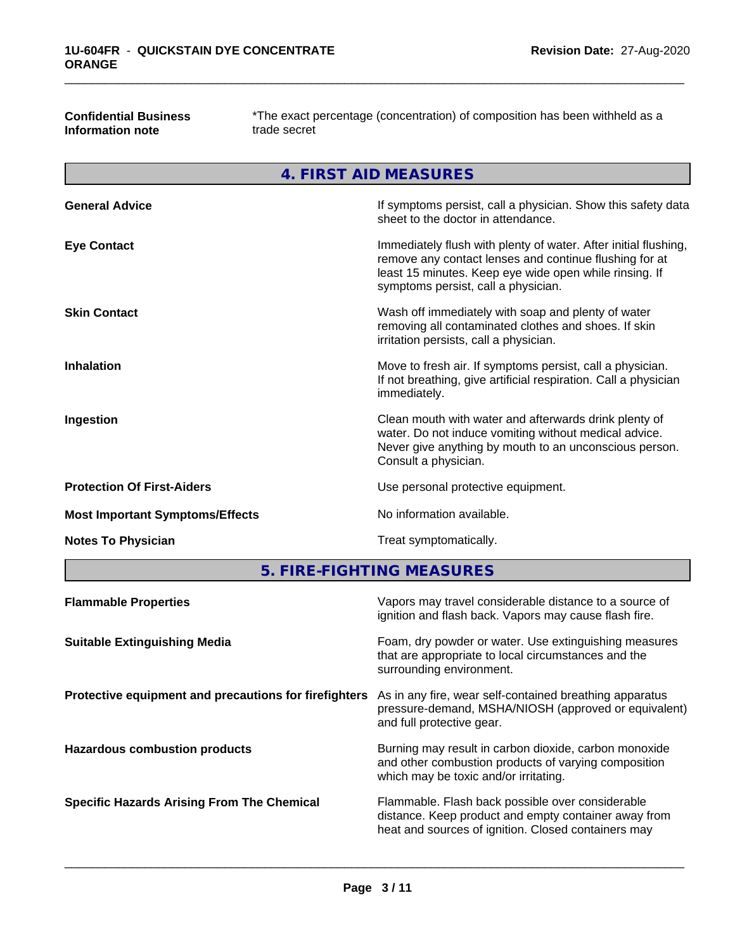**Confidential Business Information note**

\*The exact percentage (concentration) of composition has been withheld as a trade secret

**4. FIRST AID MEASURES**

| <b>General Advice</b>                  | If symptoms persist, call a physician. Show this safety data<br>sheet to the doctor in attendance.                                                                                                                         |
|----------------------------------------|----------------------------------------------------------------------------------------------------------------------------------------------------------------------------------------------------------------------------|
| <b>Eye Contact</b>                     | Immediately flush with plenty of water. After initial flushing,<br>remove any contact lenses and continue flushing for at<br>least 15 minutes. Keep eye wide open while rinsing. If<br>symptoms persist, call a physician. |
| <b>Skin Contact</b>                    | Wash off immediately with soap and plenty of water<br>removing all contaminated clothes and shoes. If skin<br>irritation persists, call a physician.                                                                       |
| <b>Inhalation</b>                      | Move to fresh air. If symptoms persist, call a physician.<br>If not breathing, give artificial respiration. Call a physician<br>immediately.                                                                               |
| Ingestion                              | Clean mouth with water and afterwards drink plenty of<br>water. Do not induce vomiting without medical advice.<br>Never give anything by mouth to an unconscious person.<br>Consult a physician.                           |
| <b>Protection Of First-Aiders</b>      | Use personal protective equipment.                                                                                                                                                                                         |
| <b>Most Important Symptoms/Effects</b> | No information available.                                                                                                                                                                                                  |
| <b>Notes To Physician</b>              | Treat symptomatically.                                                                                                                                                                                                     |
|                                        |                                                                                                                                                                                                                            |

**5. FIRE-FIGHTING MEASURES**

| <b>Flammable Properties</b>                           | Vapors may travel considerable distance to a source of<br>ignition and flash back. Vapors may cause flash fire.                                                 |
|-------------------------------------------------------|-----------------------------------------------------------------------------------------------------------------------------------------------------------------|
| <b>Suitable Extinguishing Media</b>                   | Foam, dry powder or water. Use extinguishing measures<br>that are appropriate to local circumstances and the<br>surrounding environment.                        |
| Protective equipment and precautions for firefighters | As in any fire, wear self-contained breathing apparatus<br>pressure-demand, MSHA/NIOSH (approved or equivalent)<br>and full protective gear.                    |
| <b>Hazardous combustion products</b>                  | Burning may result in carbon dioxide, carbon monoxide<br>and other combustion products of varying composition<br>which may be toxic and/or irritating.          |
| <b>Specific Hazards Arising From The Chemical</b>     | Flammable. Flash back possible over considerable<br>distance. Keep product and empty container away from<br>heat and sources of ignition. Closed containers may |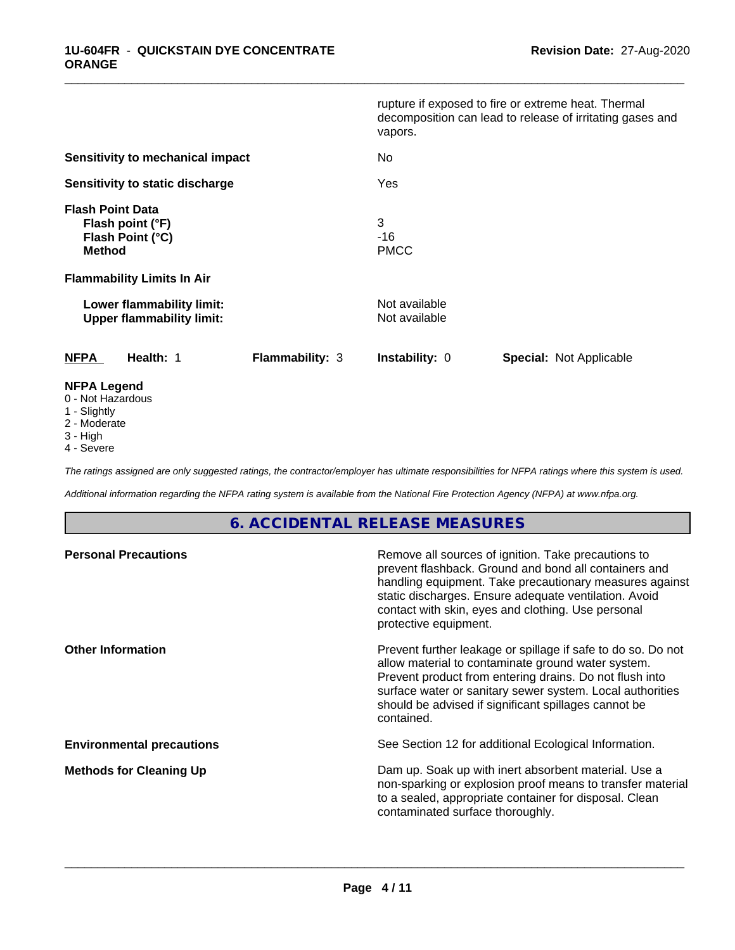|                                                                                  |                        | vapors.                        | rupture if exposed to fire or extreme heat. Thermal<br>decomposition can lead to release of irritating gases and |
|----------------------------------------------------------------------------------|------------------------|--------------------------------|------------------------------------------------------------------------------------------------------------------|
| Sensitivity to mechanical impact                                                 |                        | No                             |                                                                                                                  |
| Sensitivity to static discharge                                                  |                        | Yes                            |                                                                                                                  |
| <b>Flash Point Data</b><br>Flash point (°F)<br>Flash Point (°C)<br><b>Method</b> |                        | 3<br>$-16$<br><b>PMCC</b>      |                                                                                                                  |
| <b>Flammability Limits In Air</b>                                                |                        |                                |                                                                                                                  |
| Lower flammability limit:<br><b>Upper flammability limit:</b>                    |                        | Not available<br>Not available |                                                                                                                  |
| <b>NFPA</b><br>Health: 1                                                         | <b>Flammability: 3</b> | <b>Instability: 0</b>          | <b>Special: Not Applicable</b>                                                                                   |
| <b>NFPA Legend</b><br>0 - Not Hazardous<br>1 - Slightly                          |                        |                                |                                                                                                                  |

\_\_\_\_\_\_\_\_\_\_\_\_\_\_\_\_\_\_\_\_\_\_\_\_\_\_\_\_\_\_\_\_\_\_\_\_\_\_\_\_\_\_\_\_\_\_\_\_\_\_\_\_\_\_\_\_\_\_\_\_\_\_\_\_\_\_\_\_\_\_\_\_\_\_\_\_\_\_\_\_\_\_\_\_\_\_\_\_\_\_\_\_\_

- 1 Slightly
- 2 Moderate
- 3 High
- 4 Severe

*The ratings assigned are only suggested ratings, the contractor/employer has ultimate responsibilities for NFPA ratings where this system is used.*

*Additional information regarding the NFPA rating system is available from the National Fire Protection Agency (NFPA) at www.nfpa.org.*

# **6. ACCIDENTAL RELEASE MEASURES**

| <b>Personal Precautions</b>      | Remove all sources of ignition. Take precautions to<br>prevent flashback. Ground and bond all containers and<br>handling equipment. Take precautionary measures against<br>static discharges. Ensure adequate ventilation. Avoid<br>contact with skin, eyes and clothing. Use personal<br>protective equipment.  |
|----------------------------------|------------------------------------------------------------------------------------------------------------------------------------------------------------------------------------------------------------------------------------------------------------------------------------------------------------------|
| <b>Other Information</b>         | Prevent further leakage or spillage if safe to do so. Do not<br>allow material to contaminate ground water system.<br>Prevent product from entering drains. Do not flush into<br>surface water or sanitary sewer system. Local authorities<br>should be advised if significant spillages cannot be<br>contained. |
| <b>Environmental precautions</b> | See Section 12 for additional Ecological Information.                                                                                                                                                                                                                                                            |
| <b>Methods for Cleaning Up</b>   | Dam up. Soak up with inert absorbent material. Use a<br>non-sparking or explosion proof means to transfer material<br>to a sealed, appropriate container for disposal. Clean<br>contaminated surface thoroughly.                                                                                                 |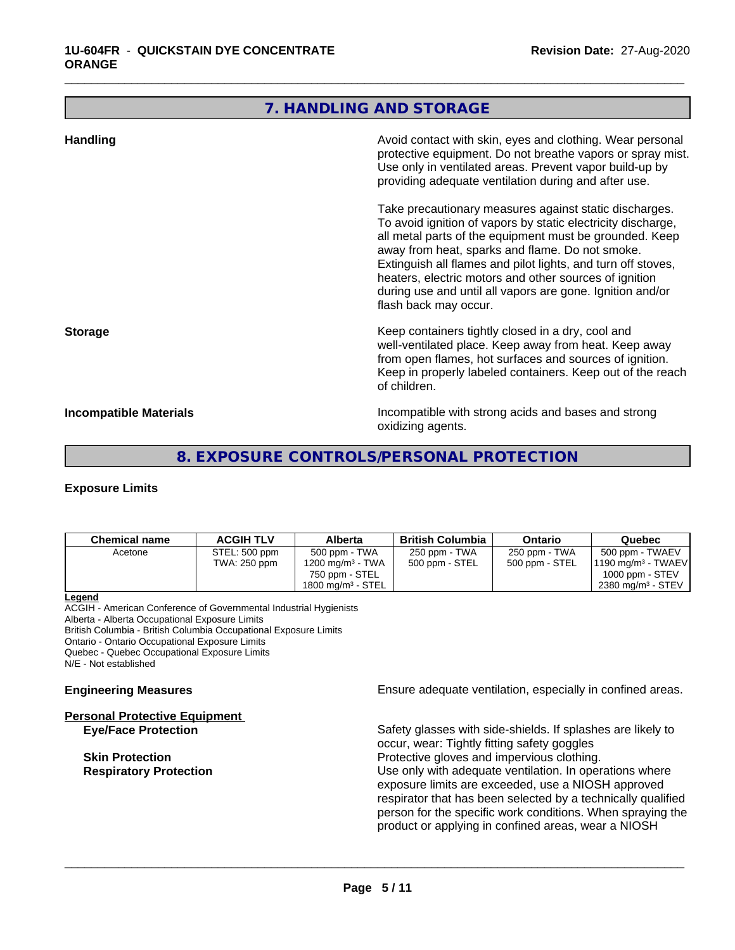## **7. HANDLING AND STORAGE**

\_\_\_\_\_\_\_\_\_\_\_\_\_\_\_\_\_\_\_\_\_\_\_\_\_\_\_\_\_\_\_\_\_\_\_\_\_\_\_\_\_\_\_\_\_\_\_\_\_\_\_\_\_\_\_\_\_\_\_\_\_\_\_\_\_\_\_\_\_\_\_\_\_\_\_\_\_\_\_\_\_\_\_\_\_\_\_\_\_\_\_\_\_

| <b>Handling</b>        | Avoid contact with skin, eyes and clothing. Wear personal<br>protective equipment. Do not breathe vapors or spray mist.<br>Use only in ventilated areas. Prevent vapor build-up by<br>providing adequate ventilation during and after use.                                                                                                                                                                                                           |
|------------------------|------------------------------------------------------------------------------------------------------------------------------------------------------------------------------------------------------------------------------------------------------------------------------------------------------------------------------------------------------------------------------------------------------------------------------------------------------|
|                        | Take precautionary measures against static discharges.<br>To avoid ignition of vapors by static electricity discharge,<br>all metal parts of the equipment must be grounded. Keep<br>away from heat, sparks and flame. Do not smoke.<br>Extinguish all flames and pilot lights, and turn off stoves,<br>heaters, electric motors and other sources of ignition<br>during use and until all vapors are gone. Ignition and/or<br>flash back may occur. |
| <b>Storage</b>         | Keep containers tightly closed in a dry, cool and<br>well-ventilated place. Keep away from heat. Keep away<br>from open flames, hot surfaces and sources of ignition.<br>Keep in properly labeled containers. Keep out of the reach<br>of children.                                                                                                                                                                                                  |
| Incompatible Materials | Incompatible with strong acids and bases and strong<br>oxidizing agents.                                                                                                                                                                                                                                                                                                                                                                             |

# **8. EXPOSURE CONTROLS/PERSONAL PROTECTION**

### **Exposure Limits**

| <b>Chemical name</b> | <b>ACGIH TLV</b> | Alberta                      | <b>British Columbia</b> | Ontario        | Quebec                        |
|----------------------|------------------|------------------------------|-------------------------|----------------|-------------------------------|
| Acetone              | STEL: 500 ppm    | 500 ppm - TWA                | 250 ppm - TWA           | 250 ppm - TWA  | 500 ppm - TWAEV               |
|                      | TWA: 250 ppm     | 1200 mg/m <sup>3</sup> - TWA | 500 ppm - STEL          | 500 ppm - STEL | $1190 \text{ mg/m}^3$ - TWAEV |
|                      |                  | 750 ppm - STEL               |                         |                | $1000$ ppm - STEV             |
|                      |                  | 1800 mg/m $3$ - STEL         |                         |                | 2380 mg/m <sup>3</sup> - STEV |

**Legend**

ACGIH - American Conference of Governmental Industrial Hygienists Alberta - Alberta Occupational Exposure Limits British Columbia - British Columbia Occupational Exposure Limits Ontario - Ontario Occupational Exposure Limits Quebec - Quebec Occupational Exposure Limits N/E - Not established

**Personal Protective Equipment**

**Engineering Measures Engineering Measures Engineering Measures Ensure adequate ventilation, especially in confined areas.** 

**Eye/Face Protection** Safety glasses with side-shields. If splashes are likely to occur, wear: Tightly fitting safety goggles **Skin Protection**<br> **Respiratory Protection**<br> **Respiratory Protection**<br> **Protective gloves and impervious clothing.**<br>
Use only with adequate ventilation. In oper Use only with adequate ventilation. In operations where exposure limits are exceeded, use a NIOSH approved respirator that has been selected by a technically qualified person for the specific work conditions. When spraying the product or applying in confined areas, wear a NIOSH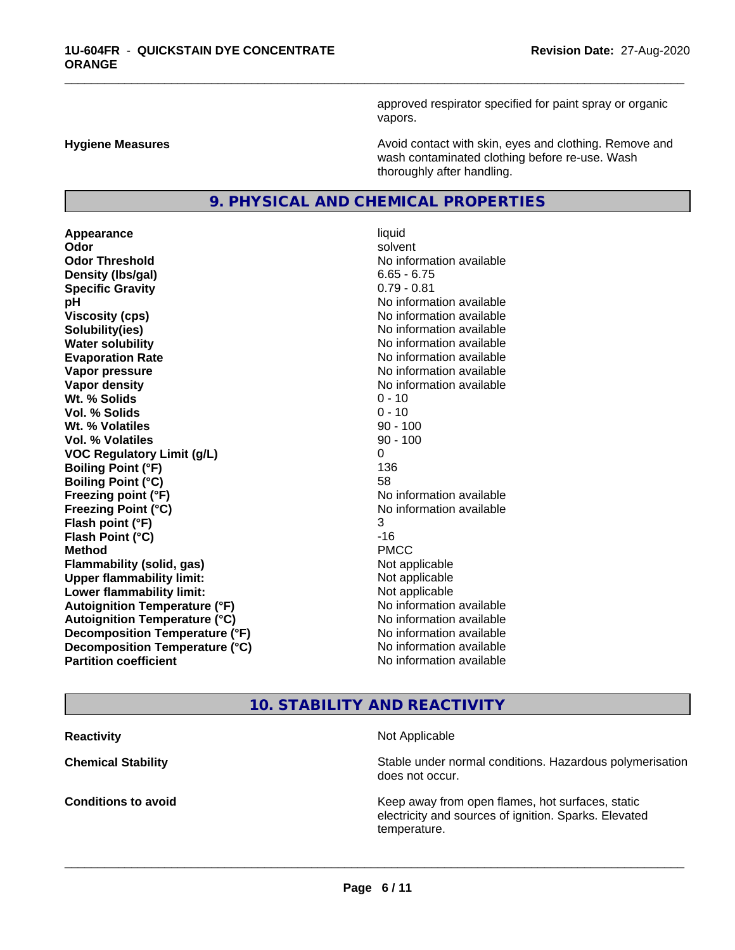approved respirator specified for paint spray or organic vapors.

**Hygiene Measures Avoid contact with skin, eyes and clothing. Remove and Avoid contact with skin, eyes and clothing. Remove and Avoid contact with skin, eyes and clothing. Remove and** wash contaminated clothing before re-use. Wash thoroughly after handling.

### **9. PHYSICAL AND CHEMICAL PROPERTIES**

**Appearance** liquid **Odor** solvent **Odor Threshold No information available No information available Density (lbs/gal)** 6.65 - 6.75 **Specific Gravity** 0.79 - 0.81 **pH** No information available **Viscosity (cps)** No information available **Solubility(ies)** No information available **Water solubility Water solubility Water solubility Water solubility Water solubility Water solution Evaporation Rate No information available No information available Vapor pressure** No information available **No information** available **Vapor density No information available No information available Wt.** % Solids 0 - 10 **Vol. % Solids** 0 - 10 **Wt. % Volatiles** 90 - 100 **Vol. % Volatiles** 90 - 100 **VOC Regulatory Limit (g/L)** 0 **Boiling Point (°F)** 136 **Boiling Point (°C)** 58 **Freezing point (°F)** No information available **Freezing Point (°C)** No information available **Flash point (°F)** 3 **Flash Point (°C)** -16 **Method** PMCC **Flammability (solid, gas)** Not applicable **Upper flammability limit:** Not applicable **Lower flammability limit:** Not applicable **Autoignition Temperature (°F)** No information available **Autoignition Temperature (°C)** No information available **Decomposition Temperature (°F)** No information available **Decomposition Temperature (°C)** No information available<br> **Partition coefficient Partition available** 

# **No information available**

\_\_\_\_\_\_\_\_\_\_\_\_\_\_\_\_\_\_\_\_\_\_\_\_\_\_\_\_\_\_\_\_\_\_\_\_\_\_\_\_\_\_\_\_\_\_\_\_\_\_\_\_\_\_\_\_\_\_\_\_\_\_\_\_\_\_\_\_\_\_\_\_\_\_\_\_\_\_\_\_\_\_\_\_\_\_\_\_\_\_\_\_\_

# **10. STABILITY AND REACTIVITY**

**Reactivity** Not Applicable **Chemical Stability Stability** Stable under normal conditions. Hazardous polymerisation does not occur. **Conditions to avoid EXECUTE:** The Metal Metal Metal Metal Metal Metal Metal Metal Metal Metal Metal Metal Metal Metal Metal Metal Metal Metal Metal Metal Metal Metal Metal Metal Metal Metal Metal Metal Metal Metal Metal electricity and sources of ignition. Sparks. Elevated temperature.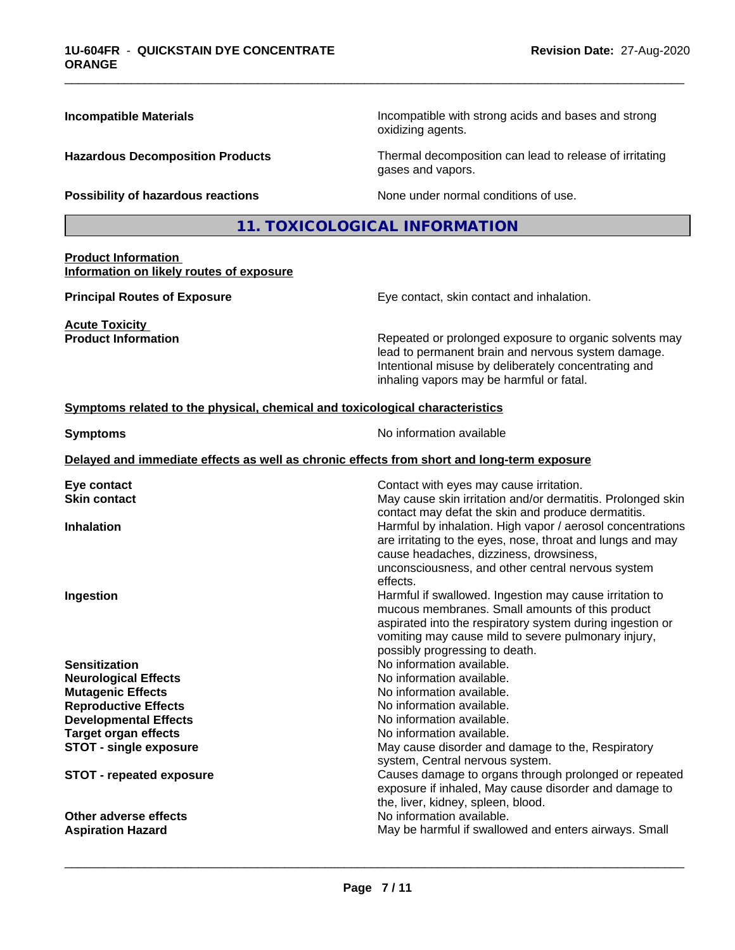| <b>Incompatible Materials</b>                                                | Incompatible with strong acids and bases and strong<br>oxidizing agents.                                                                                                                                                                                                                                                                                                                                                                                        |  |  |
|------------------------------------------------------------------------------|-----------------------------------------------------------------------------------------------------------------------------------------------------------------------------------------------------------------------------------------------------------------------------------------------------------------------------------------------------------------------------------------------------------------------------------------------------------------|--|--|
| <b>Hazardous Decomposition Products</b>                                      | Thermal decomposition can lead to release of irritating<br>gases and vapors.                                                                                                                                                                                                                                                                                                                                                                                    |  |  |
| Possibility of hazardous reactions                                           | None under normal conditions of use.                                                                                                                                                                                                                                                                                                                                                                                                                            |  |  |
|                                                                              | 11. TOXICOLOGICAL INFORMATION                                                                                                                                                                                                                                                                                                                                                                                                                                   |  |  |
| <b>Product Information</b><br>Information on likely routes of exposure       |                                                                                                                                                                                                                                                                                                                                                                                                                                                                 |  |  |
| <b>Principal Routes of Exposure</b>                                          | Eye contact, skin contact and inhalation.                                                                                                                                                                                                                                                                                                                                                                                                                       |  |  |
| <b>Acute Toxicity</b><br><b>Product Information</b>                          | Repeated or prolonged exposure to organic solvents may<br>lead to permanent brain and nervous system damage.<br>Intentional misuse by deliberately concentrating and<br>inhaling vapors may be harmful or fatal.                                                                                                                                                                                                                                                |  |  |
| Symptoms related to the physical, chemical and toxicological characteristics |                                                                                                                                                                                                                                                                                                                                                                                                                                                                 |  |  |
| <b>Symptoms</b>                                                              | No information available                                                                                                                                                                                                                                                                                                                                                                                                                                        |  |  |
|                                                                              | Delayed and immediate effects as well as chronic effects from short and long-term exposure                                                                                                                                                                                                                                                                                                                                                                      |  |  |
| Eye contact<br><b>Skin contact</b><br><b>Inhalation</b><br>Ingestion         | Contact with eyes may cause irritation.<br>May cause skin irritation and/or dermatitis. Prolonged skin<br>contact may defat the skin and produce dermatitis.<br>Harmful by inhalation. High vapor / aerosol concentrations<br>are irritating to the eyes, nose, throat and lungs and may<br>cause headaches, dizziness, drowsiness,<br>unconsciousness, and other central nervous system<br>effects.<br>Harmful if swallowed. Ingestion may cause irritation to |  |  |
|                                                                              | mucous membranes. Small amounts of this product<br>aspirated into the respiratory system during ingestion or<br>vomiting may cause mild to severe pulmonary injury,<br>possibly progressing to death.                                                                                                                                                                                                                                                           |  |  |
| <b>Sensitization</b>                                                         | No information available.                                                                                                                                                                                                                                                                                                                                                                                                                                       |  |  |
| <b>Neurological Effects</b>                                                  | No information available.<br>No information available.                                                                                                                                                                                                                                                                                                                                                                                                          |  |  |
| <b>Mutagenic Effects</b><br><b>Reproductive Effects</b>                      | No information available.                                                                                                                                                                                                                                                                                                                                                                                                                                       |  |  |
| <b>Developmental Effects</b>                                                 | No information available.                                                                                                                                                                                                                                                                                                                                                                                                                                       |  |  |
| <b>Target organ effects</b>                                                  | No information available.                                                                                                                                                                                                                                                                                                                                                                                                                                       |  |  |
| <b>STOT - single exposure</b>                                                | May cause disorder and damage to the, Respiratory                                                                                                                                                                                                                                                                                                                                                                                                               |  |  |
| <b>STOT - repeated exposure</b>                                              | system, Central nervous system.<br>Causes damage to organs through prolonged or repeated<br>exposure if inhaled, May cause disorder and damage to<br>the, liver, kidney, spleen, blood.                                                                                                                                                                                                                                                                         |  |  |
| Other adverse effects                                                        | No information available.                                                                                                                                                                                                                                                                                                                                                                                                                                       |  |  |
| <b>Aspiration Hazard</b>                                                     | May be harmful if swallowed and enters airways. Small                                                                                                                                                                                                                                                                                                                                                                                                           |  |  |

\_\_\_\_\_\_\_\_\_\_\_\_\_\_\_\_\_\_\_\_\_\_\_\_\_\_\_\_\_\_\_\_\_\_\_\_\_\_\_\_\_\_\_\_\_\_\_\_\_\_\_\_\_\_\_\_\_\_\_\_\_\_\_\_\_\_\_\_\_\_\_\_\_\_\_\_\_\_\_\_\_\_\_\_\_\_\_\_\_\_\_\_\_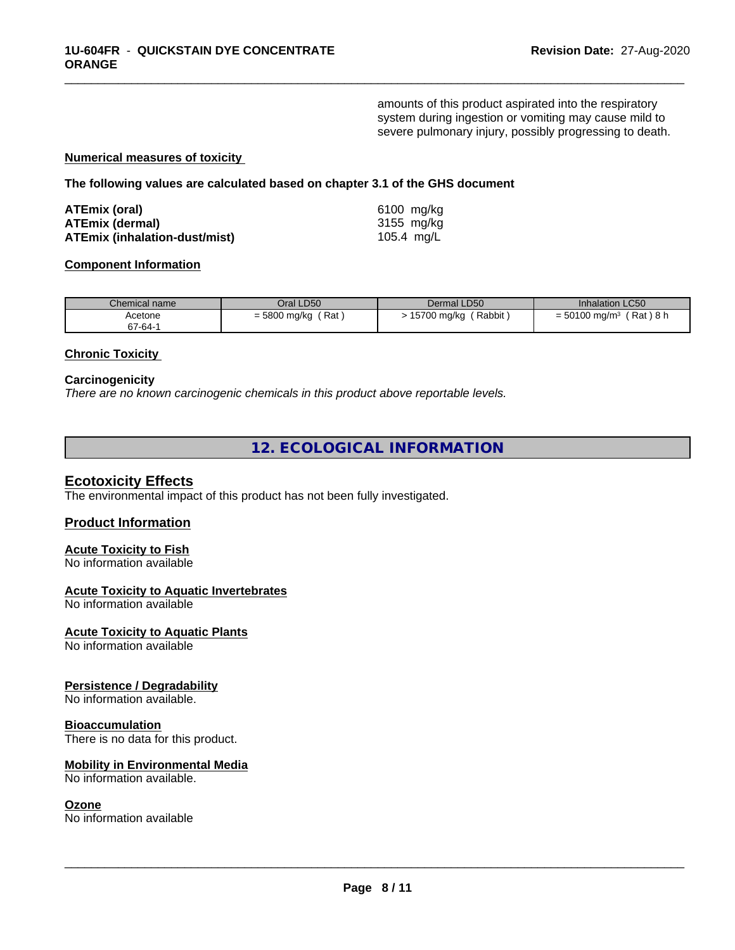amounts of this product aspirated into the respiratory system during ingestion or vomiting may cause mild to severe pulmonary injury, possibly progressing to death.

\_\_\_\_\_\_\_\_\_\_\_\_\_\_\_\_\_\_\_\_\_\_\_\_\_\_\_\_\_\_\_\_\_\_\_\_\_\_\_\_\_\_\_\_\_\_\_\_\_\_\_\_\_\_\_\_\_\_\_\_\_\_\_\_\_\_\_\_\_\_\_\_\_\_\_\_\_\_\_\_\_\_\_\_\_\_\_\_\_\_\_\_\_

### **Numerical measures of toxicity**

**The following values are calculated based on chapter 3.1 of the GHS document**

| ATEmix (oral)                 | 6100 mg/ka |
|-------------------------------|------------|
| <b>ATEmix (dermal)</b>        | 3155 mg/kg |
| ATEmix (inhalation-dust/mist) | 105.4 mg/L |

### **Component Information**

| Chemical name | Oral LD50    | Dermal LD50 | <b>Inhalation LC50</b> |
|---------------|--------------|-------------|------------------------|
| Acetone       | ˈ Rat        | Rabbit,     | (Rat)8 h               |
| 67-64-1       | = 5800 mg/kg | 15700 mg/kg | $= 50100$ mg/m $3$     |

### **Chronic Toxicity**

### **Carcinogenicity**

*There are no known carcinogenic chemicals in this product above reportable levels.*

**12. ECOLOGICAL INFORMATION**

### **Ecotoxicity Effects**

The environmental impact of this product has not been fully investigated.

### **Product Information**

### **Acute Toxicity to Fish** No information available

### **Acute Toxicity to Aquatic Invertebrates**

No information available

### **Acute Toxicity to Aquatic Plants**

No information available

### **Persistence / Degradability**

No information available.

### **Bioaccumulation**

There is no data for this product.

### **Mobility in Environmental Media**

No information available.

### **Ozone**

No information available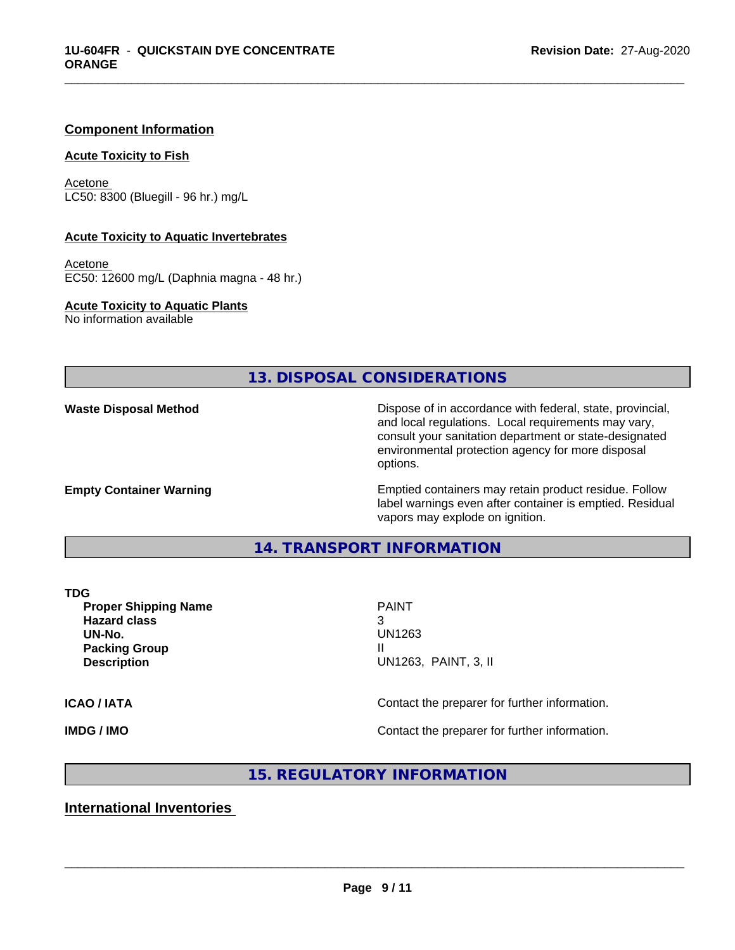### **Component Information**

### **Acute Toxicity to Fish**

Acetone LC50: 8300 (Bluegill - 96 hr.) mg/L

### **Acute Toxicity to Aquatic Invertebrates**

Acetone EC50: 12600 mg/L (Daphnia magna - 48 hr.)

**Acute Toxicity to Aquatic Plants** No information available

**13. DISPOSAL CONSIDERATIONS**

**Waste Disposal Method Dispose of in accordance with federal, state, provincial,** and local regulations. Local requirements may vary, consult your sanitation department or state-designated environmental protection agency for more disposal options.

**Empty Container Warning <b>Emptied** Containers may retain product residue. Follow label warnings even after container is emptied. Residual vapors may explode on ignition.

### **14. TRANSPORT INFORMATION**

**Proper Shipping Name PAINT Hazard class** 3 **UN-No.** UN1263 **Packing Group III Description** UN1263, PAINT, 3, II

 $\overline{\phantom{a}}$  ,  $\overline{\phantom{a}}$  ,  $\overline{\phantom{a}}$  ,  $\overline{\phantom{a}}$  ,  $\overline{\phantom{a}}$  ,  $\overline{\phantom{a}}$  ,  $\overline{\phantom{a}}$  ,  $\overline{\phantom{a}}$  ,  $\overline{\phantom{a}}$  ,  $\overline{\phantom{a}}$  ,  $\overline{\phantom{a}}$  ,  $\overline{\phantom{a}}$  ,  $\overline{\phantom{a}}$  ,  $\overline{\phantom{a}}$  ,  $\overline{\phantom{a}}$  ,  $\overline{\phantom{a}}$ 

\_\_\_\_\_\_\_\_\_\_\_\_\_\_\_\_\_\_\_\_\_\_\_\_\_\_\_\_\_\_\_\_\_\_\_\_\_\_\_\_\_\_\_\_\_\_\_\_\_\_\_\_\_\_\_\_\_\_\_\_\_\_\_\_\_\_\_\_\_\_\_\_\_\_\_\_\_\_\_\_\_\_\_\_\_\_\_\_\_\_\_\_\_

**ICAO / IATA ICAO / IATA Contact the preparer for further information.** 

**IMDG / IMO Contact the preparer for further information.** 

**15. REGULATORY INFORMATION**

**International Inventories**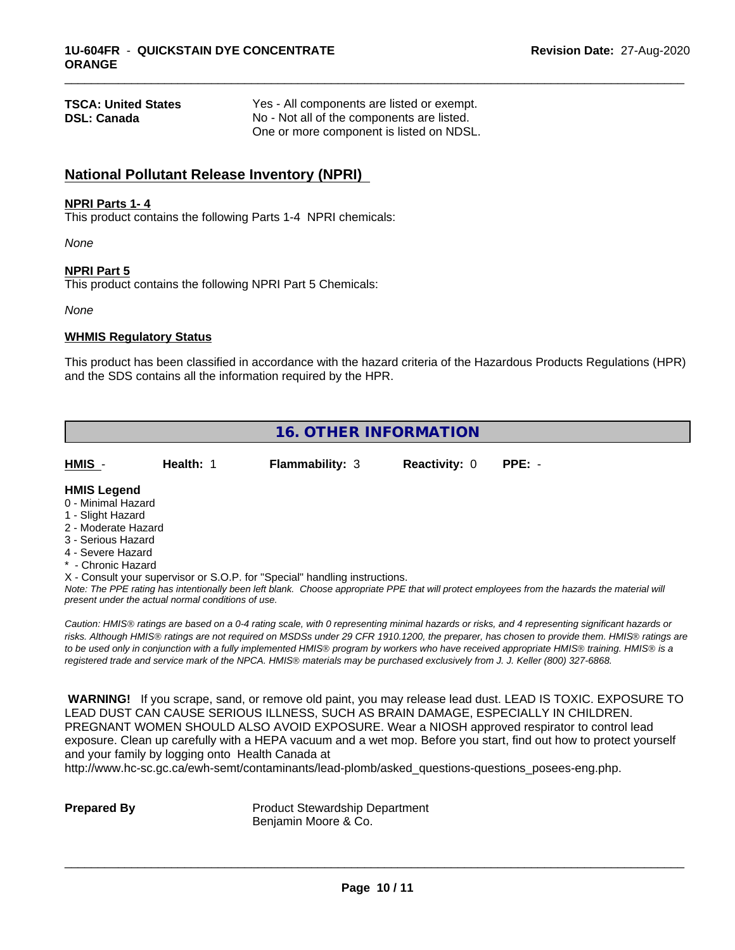| <b>TSCA: United States</b> | Yes - All components are listed or exempt. |
|----------------------------|--------------------------------------------|
| <b>DSL: Canada</b>         | No - Not all of the components are listed. |
|                            | One or more component is listed on NDSL.   |

# **National Pollutant Release Inventory (NPRI)**

### **NPRI Parts 1- 4**

This product contains the following Parts 1-4 NPRI chemicals:

*None*

### **NPRI Part 5**

This product contains the following NPRI Part 5 Chemicals:

*None*

### **WHMIS Regulatory Status**

This product has been classified in accordance with the hazard criteria of the Hazardous Products Regulations (HPR) and the SDS contains all the information required by the HPR.

\_\_\_\_\_\_\_\_\_\_\_\_\_\_\_\_\_\_\_\_\_\_\_\_\_\_\_\_\_\_\_\_\_\_\_\_\_\_\_\_\_\_\_\_\_\_\_\_\_\_\_\_\_\_\_\_\_\_\_\_\_\_\_\_\_\_\_\_\_\_\_\_\_\_\_\_\_\_\_\_\_\_\_\_\_\_\_\_\_\_\_\_\_

| <b>16. OTHER INFORMATION</b>                                                                                                                                                                                |           |                                                                            |                      |                                                                                                                                                                                                                                                                                                                                                                                                                                                                                                                                                                              |  |  |
|-------------------------------------------------------------------------------------------------------------------------------------------------------------------------------------------------------------|-----------|----------------------------------------------------------------------------|----------------------|------------------------------------------------------------------------------------------------------------------------------------------------------------------------------------------------------------------------------------------------------------------------------------------------------------------------------------------------------------------------------------------------------------------------------------------------------------------------------------------------------------------------------------------------------------------------------|--|--|
| HMIS -                                                                                                                                                                                                      | Health: 1 | <b>Flammability: 3</b>                                                     | <b>Reactivity: 0</b> | $PPE: -$                                                                                                                                                                                                                                                                                                                                                                                                                                                                                                                                                                     |  |  |
| <b>HMIS Legend</b><br>0 - Minimal Hazard<br>1 - Slight Hazard<br>2 - Moderate Hazard<br>3 - Serious Hazard<br>4 - Severe Hazard<br>* - Chronic Hazard<br>present under the actual normal conditions of use. |           | X - Consult your supervisor or S.O.P. for "Special" handling instructions. |                      | Note: The PPE rating has intentionally been left blank. Choose appropriate PPE that will protect employees from the hazards the material will                                                                                                                                                                                                                                                                                                                                                                                                                                |  |  |
|                                                                                                                                                                                                             |           |                                                                            |                      | Caution: HMIS® ratings are based on a 0-4 rating scale, with 0 representing minimal hazards or risks, and 4 representing significant hazards or<br>risks. Although HMIS® ratings are not required on MSDSs under 29 CFR 1910.1200, the preparer, has chosen to provide them. HMIS® ratings are<br>to be used only in conjunction with a fully implemented HMIS® program by workers who have received appropriate HMIS® training. HMIS® is a<br>registered trade and service mark of the NPCA. HMIS® materials may be purchased exclusively from J. J. Keller (800) 327-6868. |  |  |

 **WARNING!** If you scrape, sand, or remove old paint, you may release lead dust. LEAD IS TOXIC. EXPOSURE TO LEAD DUST CAN CAUSE SERIOUS ILLNESS, SUCH AS BRAIN DAMAGE, ESPECIALLY IN CHILDREN. PREGNANT WOMEN SHOULD ALSO AVOID EXPOSURE. Wear a NIOSH approved respirator to control lead exposure. Clean up carefully with a HEPA vacuum and a wet mop. Before you start, find out how to protect yourself and your family by logging onto Health Canada at

http://www.hc-sc.gc.ca/ewh-semt/contaminants/lead-plomb/asked\_questions-questions\_posees-eng.php.

**Prepared By** Product Stewardship Department Benjamin Moore & Co.